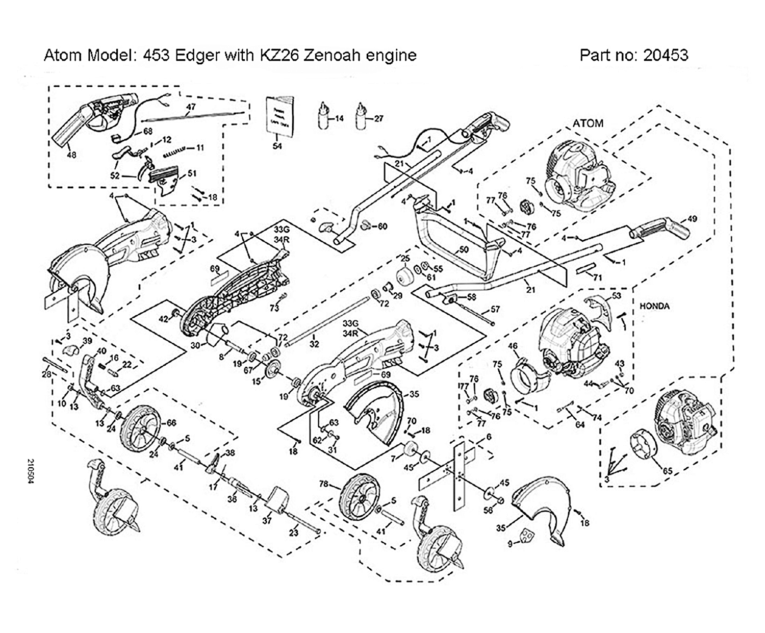Atom Model: 453 Edger with KZ26 Zenoah engine

Part no: 20453